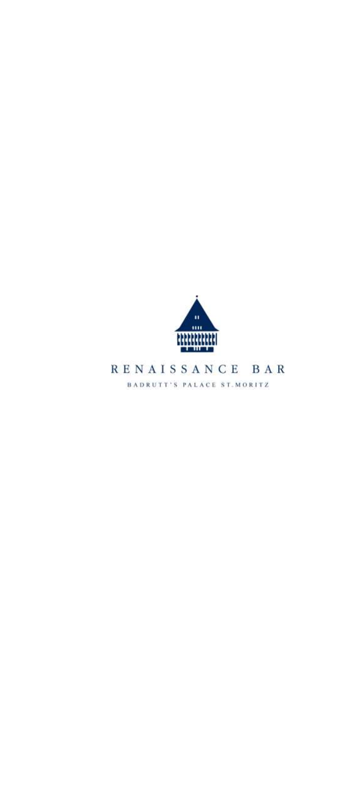

RENAISSANCE BAR BADRUTT'S PALACE ST. MORITZ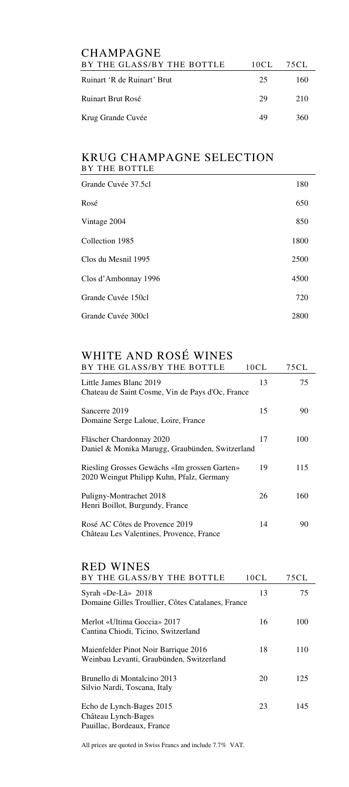| <b>CHAMPAGNE</b>            |      |      |
|-----------------------------|------|------|
| BY THE GLASS/BY THE BOTTLE  | 10CL | 75CL |
| Ruinart 'R de Ruinart' Brut | 25   | 160  |
| <b>Ruinart Brut Rosé</b>    | 29   | 210  |
| Krug Grande Cuvée           | 49   | 360  |
|                             |      |      |

# KRUG CHAMPAGNE SELECTION BY THE BOTTLE

| Grande Cuvée 37.5cl  | 180  |
|----------------------|------|
| Rosé                 | 650  |
| Vintage 2004         | 850  |
| Collection 1985      | 1800 |
| Clos du Mesnil 1995  | 2500 |
| Clos d'Ambonnay 1996 | 4500 |
| Grande Cuvée 150cl   | 720  |
| Grande Cuvée 300cl   | 2800 |

# WHITE AND ROSÉ WINES

| BY THE GLASS/BY THE BOTTLE                                                                | 10CL | 75CL |
|-------------------------------------------------------------------------------------------|------|------|
| Little James Blanc 2019<br>Chateau de Saint Cosme, Vin de Pays d'Oc, France               | 13   | 75   |
| Sancerre 2019<br>Domaine Serge Laloue, Loire, France                                      | 15   | 90   |
| Fläscher Chardonnay 2020<br>Daniel & Monika Marugg, Graubünden, Switzerland               | 17   | 100  |
| Riesling Grosses Gewächs «Im grossen Garten»<br>2020 Weingut Philipp Kuhn, Pfalz, Germany | 19   | 115  |
| Puligny-Montrachet 2018<br>Henri Boillot, Burgundy, France                                | 26   | 160  |
| Rosé AC Côtes de Provence 2019<br>Château Les Valentines, Provence, France                | 14   | 90   |

# RED WINES

| BY THE GLASS/BY THE BOTTLE                                                       | 10CL | 75 C L |
|----------------------------------------------------------------------------------|------|--------|
| Syrah «De-Là» $2018$<br>Domaine Gilles Troullier, Côtes Catalanes, France        | 13   | 75     |
| Merlot «Ultima Goccia» 2017<br>Cantina Chiodi, Ticino, Switzerland               | 16   | 100    |
| Maienfelder Pinot Noir Barrique 2016<br>Weinbau Levanti, Graubünden, Switzerland | 18   | 110    |
| Brunello di Montalcino 2013<br>Silvio Nardi, Toscana, Italy                      | 20   | 125    |
| Echo de Lynch-Bages 2015<br>Château Lynch-Bages<br>Pauillac, Bordeaux, France    | 23   | 145    |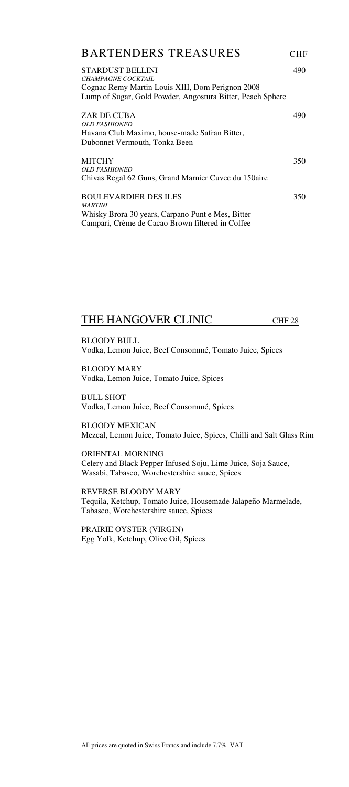| <b>BARTENDERS TREASURES</b>                                                                                                                              | <b>CHF</b> |
|----------------------------------------------------------------------------------------------------------------------------------------------------------|------------|
| STARDUST BELLINI<br>CHAMPAGNE COCKTAIL<br>Cognac Remy Martin Louis XIII, Dom Perignon 2008<br>Lump of Sugar, Gold Powder, Angostura Bitter, Peach Sphere | 490        |
| ZAR DE CUBA<br><b>OLD FASHIONED</b><br>Havana Club Maximo, house-made Safran Bitter,<br>Dubonnet Vermouth, Tonka Been                                    | 490        |
| <b>MITCHY</b><br>OLD FASHIONED<br>Chivas Regal 62 Guns, Grand Marnier Cuvee du 150aire                                                                   | 350        |
| <b>BOULEVARDIER DES ILES</b><br><b>MARTINI</b><br>Whisky Brora 30 years, Carpano Punt e Mes, Bitter<br>Campari, Crème de Cacao Brown filtered in Coffee  | 350        |

### THE HANGOVER CLINIC CHF 28

BLOODY BULL Vodka, Lemon Juice, Beef Consommé, Tomato Juice, Spices

BLOODY MARY Vodka, Lemon Juice, Tomato Juice, Spices

BULL SHOT Vodka, Lemon Juice, Beef Consommé, Spices

BLOODY MEXICAN Mezcal, Lemon Juice, Tomato Juice, Spices, Chilli and Salt Glass Rim

ORIENTAL MORNING Celery and Black Pepper Infused Soju, Lime Juice, Soja Sauce, Wasabi, Tabasco, Worchestershire sauce, Spices

REVERSE BLOODY MARY Tequila, Ketchup, Tomato Juice, Housemade Jalapeño Marmelade, Tabasco, Worchestershire sauce, Spices

PRAIRIE OYSTER (VIRGIN) Egg Yolk, Ketchup, Olive Oil, Spices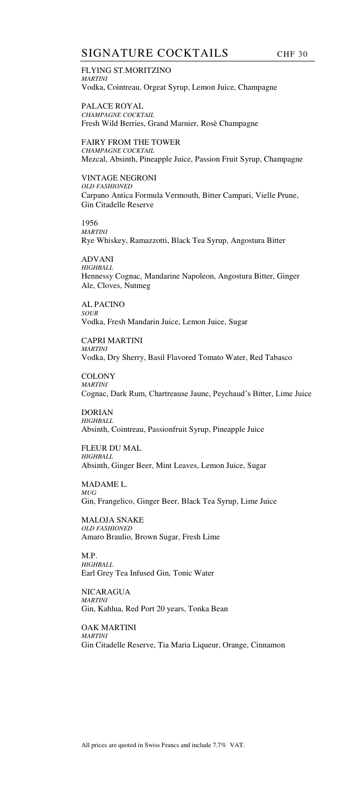### SIGNATURE COCKTAILS CHF 30

FLYING ST.MORITZINO *MARTINI*  Vodka, Cointreau, Orgeat Syrup, Lemon Juice, Champagne

PALACE ROYAL *CHAMPAGNE COCKTAIL*  Fresh Wild Berries, Grand Marnier, Rosè Champagne

FAIRY FROM THE TOWER *CHAMPAGNE COCKTAIL*  Mezcal, Absinth, Pineapple Juice, Passion Fruit Syrup, Champagne

VINTAGE NEGRONI *OLD FASHIONED* Carpano Antica Formula Vermouth, Bitter Campari, Vielle Prune, Gin Citadelle Reserve

1956 *MARTINI*  Rye Whiskey, Ramazzotti, Black Tea Syrup, Angostura Bitter

ADVANI *HIGHBALL*  Hennessy Cognac, Mandarine Napoleon, Angostura Bitter, Ginger Ale, Cloves, Nutmeg

AL PACINO *SOUR*  Vodka, Fresh Mandarin Juice, Lemon Juice, Sugar

CAPRI MARTINI *MARTINI*  Vodka, Dry Sherry, Basil Flavored Tomato Water, Red Tabasco

COLONY *MARTINI*  Cognac, Dark Rum, Chartreause Jaune, Peychaud's Bitter, Lime Juice

DORIAN *HIGHBALL*  Absinth, Cointreau, Passionfruit Syrup, Pineapple Juice

FLEUR DU MAL *HIGHBALL*  Absinth, Ginger Beer, Mint Leaves, Lemon Juice, Sugar

MADAME L. *MUG*  Gin, Frangelico, Ginger Beer, Black Tea Syrup, Lime Juice

MALOJA SNAKE *OLD FASHIONED* Amaro Braulio, Brown Sugar, Fresh Lime

M.P. *HIGHBALL*  Earl Grey Tea Infused Gin, Tonic Water

NICARAGUA *MARTINI*  Gin, Kahlua, Red Port 20 years, Tonka Bean

OAK MARTINI *MARTINI*  Gin Citadelle Reserve, Tia Maria Liqueur, Orange, Cinnamon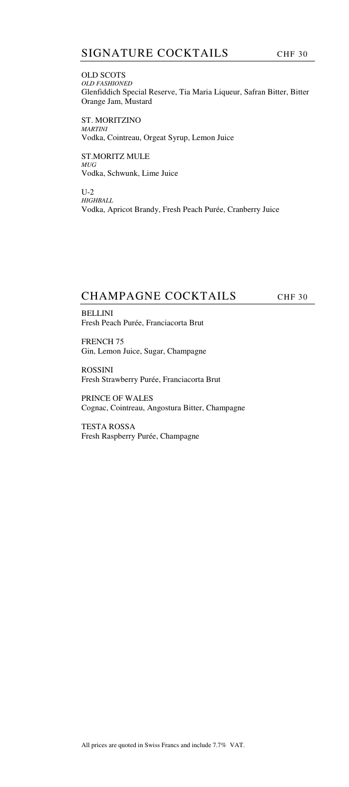OLD SCOTS *OLD FASHIONED* Glenfiddich Special Reserve, Tia Maria Liqueur, Safran Bitter, Bitter Orange Jam, Mustard

ST. MORITZINO *MARTINI*  Vodka, Cointreau, Orgeat Syrup, Lemon Juice

ST.MORITZ MULE *MUG*  Vodka, Schwunk, Lime Juice

U-2 *HIGHBALL*  Vodka, Apricot Brandy, Fresh Peach Purée, Cranberry Juice

# CHAMPAGNE COCKTAILS CHF 30

BELLINI Fresh Peach Purée, Franciacorta Brut

FRENCH 75 Gin, Lemon Juice, Sugar, Champagne

ROSSINI Fresh Strawberry Purée, Franciacorta Brut

PRINCE OF WALES Cognac, Cointreau, Angostura Bitter, Champagne

TESTA ROSSA Fresh Raspberry Purée, Champagne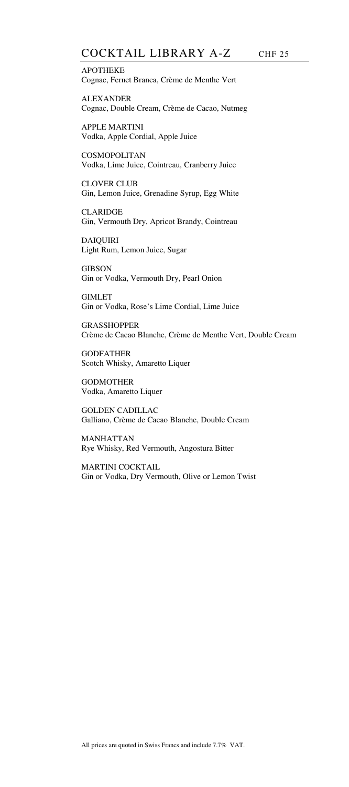APOTHEKE Cognac, Fernet Branca, Crème de Menthe Vert

ALEXANDER Cognac, Double Cream, Crème de Cacao, Nutmeg

APPLE MARTINI Vodka, Apple Cordial, Apple Juice

COSMOPOLITAN Vodka, Lime Juice, Cointreau, Cranberry Juice

CLOVER CLUB Gin, Lemon Juice, Grenadine Syrup, Egg White

CLARIDGE Gin, Vermouth Dry, Apricot Brandy, Cointreau

DAIQUIRI Light Rum, Lemon Juice, Sugar

**GIBSON** Gin or Vodka, Vermouth Dry, Pearl Onion

GIMLET Gin or Vodka, Rose's Lime Cordial, Lime Juice

GRASSHOPPER Crème de Cacao Blanche, Crème de Menthe Vert, Double Cream

GODFATHER Scotch Whisky, Amaretto Liquer

GODMOTHER Vodka, Amaretto Liquer

GOLDEN CADILLAC Galliano, Crème de Cacao Blanche, Double Cream

MANHATTAN Rye Whisky, Red Vermouth, Angostura Bitter

MARTINI COCKTAIL Gin or Vodka, Dry Vermouth, Olive or Lemon Twist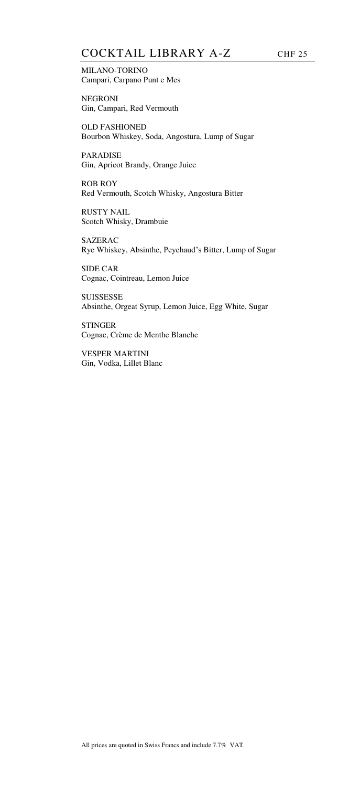# COCKTAIL LIBRARY A-Z CHF 25

MILANO-TORINO Campari, Carpano Punt e Mes

NEGRONI Gin, Campari, Red Vermouth

OLD FASHIONED Bourbon Whiskey, Soda, Angostura, Lump of Sugar

PARADISE Gin, Apricot Brandy, Orange Juice

ROB ROY Red Vermouth, Scotch Whisky, Angostura Bitter

RUSTY NAIL Scotch Whisky, Drambuie

SAZERAC Rye Whiskey, Absinthe, Peychaud's Bitter, Lump of Sugar

SIDE CAR Cognac, Cointreau, Lemon Juice

**SUISSESSE** Absinthe, Orgeat Syrup, Lemon Juice, Egg White, Sugar

**STINGER** Cognac, Crème de Menthe Blanche

VESPER MARTINI Gin, Vodka, Lillet Blanc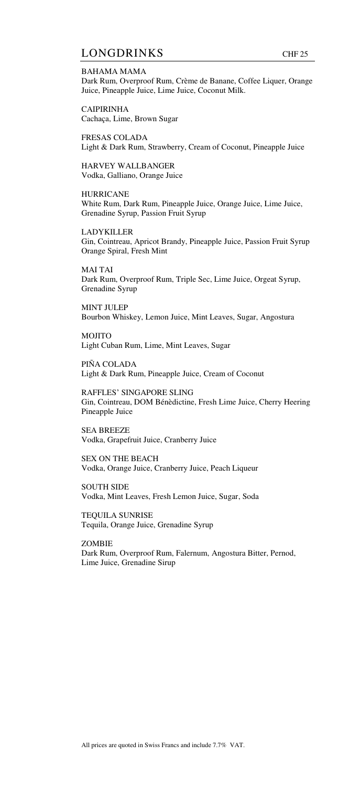### LONGDRINKS CHF 25

BAHAMA MAMA Dark Rum, Overproof Rum, Crème de Banane, Coffee Liquer, Orange Juice, Pineapple Juice, Lime Juice, Coconut Milk.

CAIPIRINHA Cachaça, Lime, Brown Sugar

FRESAS COLADA Light & Dark Rum, Strawberry, Cream of Coconut, Pineapple Juice

HARVEY WALLBANGER Vodka, Galliano, Orange Juice

HURRICANE White Rum, Dark Rum, Pineapple Juice, Orange Juice, Lime Juice, Grenadine Syrup, Passion Fruit Syrup

LADYKILLER Gin, Cointreau, Apricot Brandy, Pineapple Juice, Passion Fruit Syrup Orange Spiral, Fresh Mint

MAI TAI Dark Rum, Overproof Rum, Triple Sec, Lime Juice, Orgeat Syrup, Grenadine Syrup

MINT JULEP Bourbon Whiskey, Lemon Juice, Mint Leaves, Sugar, Angostura

MOJITO Light Cuban Rum, Lime, Mint Leaves, Sugar

PIÑA COLADA Light & Dark Rum, Pineapple Juice, Cream of Coconut

RAFFLES' SINGAPORE SLING Gin, Cointreau, DOM Bénèdictine, Fresh Lime Juice, Cherry Heering Pineapple Juice

SEA BREEZE Vodka, Grapefruit Juice, Cranberry Juice

SEX ON THE BEACH Vodka, Orange Juice, Cranberry Juice, Peach Liqueur

SOUTH SIDE Vodka, Mint Leaves, Fresh Lemon Juice, Sugar, Soda

TEQUILA SUNRISE Tequila, Orange Juice, Grenadine Syrup

ZOMBIE Dark Rum, Overproof Rum, Falernum, Angostura Bitter, Pernod, Lime Juice, Grenadine Sirup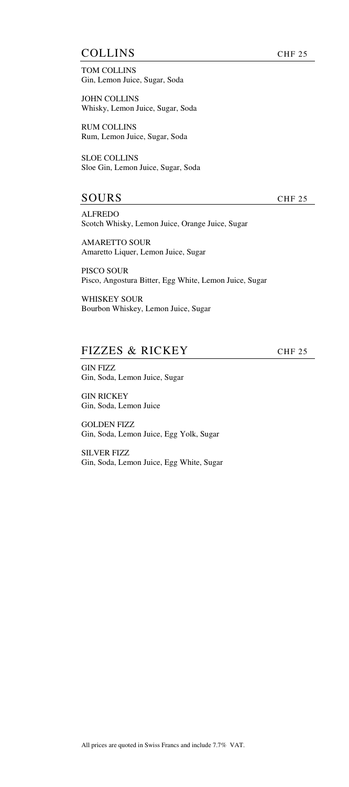### COLLINS CHF 25

TOM COLLINS Gin, Lemon Juice, Sugar, Soda

JOHN COLLINS Whisky, Lemon Juice, Sugar, Soda

RUM COLLINS Rum, Lemon Juice, Sugar, Soda

SLOE COLLINS Sloe Gin, Lemon Juice, Sugar, Soda

## SOURS CHF 25

ALFREDO Scotch Whisky, Lemon Juice, Orange Juice, Sugar

AMARETTO SOUR Amaretto Liquer, Lemon Juice, Sugar

PISCO SOUR Pisco, Angostura Bitter, Egg White, Lemon Juice, Sugar

WHISKEY SOUR Bourbon Whiskey, Lemon Juice, Sugar

# FIZZES & RICKEY CHF 25

GIN FIZZ Gin, Soda, Lemon Juice, Sugar

GIN RICKEY Gin, Soda, Lemon Juice

GOLDEN FIZZ Gin, Soda, Lemon Juice, Egg Yolk, Sugar

SILVER FIZZ Gin, Soda, Lemon Juice, Egg White, Sugar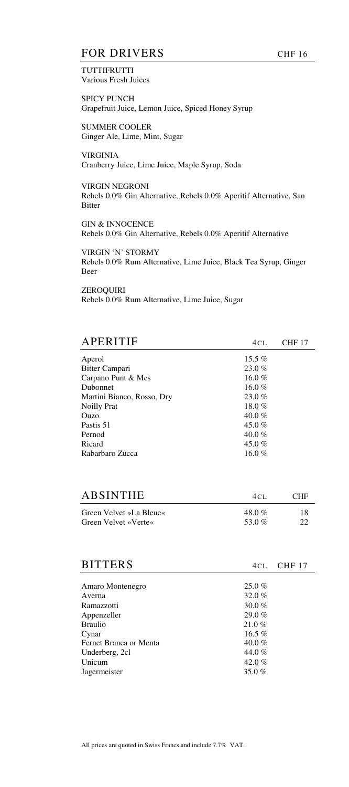## FOR DRIVERS CHF 16

**TUTTIFRUTTI** Various Fresh Juices

SPICY PUNCH Grapefruit Juice, Lemon Juice, Spiced Honey Syrup

SUMMER COOLER Ginger Ale, Lime, Mint, Sugar

VIRGINIA Cranberry Juice, Lime Juice, Maple Syrup, Soda

VIRGIN NEGRONI Rebels 0.0% Gin Alternative, Rebels 0.0% Aperitif Alternative, San Bitter

GIN & INNOCENCE Rebels 0.0% Gin Alternative, Rebels 0.0% Aperitif Alternative

VIRGIN 'N' STORMY Rebels 0.0% Rum Alternative, Lime Juice, Black Tea Syrup, Ginger Beer

ZEROQUIRI Rebels 0.0% Rum Alternative, Lime Juice, Sugar

| APERITIF                   | 4 C L    | <b>CHF 17</b> |
|----------------------------|----------|---------------|
| Aperol                     | 15.5 $%$ |               |
| Bitter Campari             | 23.0%    |               |
| Carpano Punt & Mes         | 16.0 $%$ |               |
| Dubonnet                   | 16.0 %   |               |
| Martini Bianco, Rosso, Dry | 23.0%    |               |
| <b>Noilly Prat</b>         | 18.0 $%$ |               |
| Ouzo                       | 40.0 %   |               |
| Pastis 51                  | 45.0 %   |               |
| Pernod                     | 40.0 %   |               |
| Ricard                     | 45.0 %   |               |
| Rabarbaro Zucca            | 16.0 %   |               |

| <b>ABSINTHE</b>         | 4CI      | CHE |
|-------------------------|----------|-----|
| Green Velvet »La Bleue« | 48.0 $%$ | 18  |
| Green Velvet »Verte«    | 53.0 %   | 22  |

| <b>BITTERS</b>         | 4CL.     | CHF 17 |
|------------------------|----------|--------|
|                        |          |        |
| Amaro Montenegro       | $25.0\%$ |        |
| Averna                 | 32.0 $%$ |        |
| Ramazzotti             | 30.0 $%$ |        |
| Appenzeller            | 29.0%    |        |
| <b>Braulio</b>         | 21.0%    |        |
| Cynar                  | 16.5 $%$ |        |
| Fernet Branca or Menta | 40.0 $%$ |        |
| Underberg, 2cl         | 44.0%    |        |
| Unicum                 | 42.0 $%$ |        |
| Jagermeister           | 35.0 $%$ |        |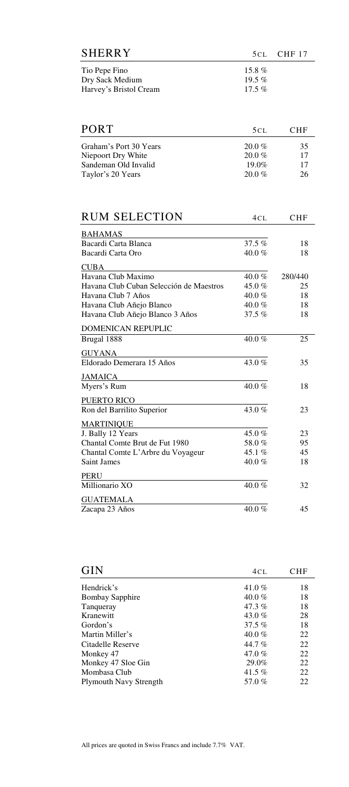| SHERRY                 |           | $5CL$ CHF 17 |
|------------------------|-----------|--------------|
| Tio Pepe Fino          | 15.8 $%$  |              |
| Dry Sack Medium        | 19.5 $%$  |              |
| Harvey's Bristol Cream | 17.5 $\%$ |              |

| <b>PORT</b>            | 5 C L     | <b>CHF</b> |
|------------------------|-----------|------------|
| Graham's Port 30 Years | $20.0 \%$ | 35         |
| Niepoort Dry White     | $20.0 \%$ | 17         |
| Sandeman Old Invalid   | $19.0\%$  | 17         |
| Taylor's 20 Years      | $20.0 \%$ | 26         |

| <b>RUM SELECTION</b>                    | 4 C L     | <b>CHF</b> |
|-----------------------------------------|-----------|------------|
| <b>BAHAMAS</b>                          |           |            |
| Bacardi Carta Blanca                    | $37.5\%$  | 18         |
| Bacardi Carta Oro                       | $40.0 \%$ | 18         |
| <b>CUBA</b>                             |           |            |
| Havana Club Maximo                      | 40.0 %    | 280/440    |
| Havana Club Cuban Selección de Maestros | 45.0 $%$  | 25         |
| Havana Club 7 Años                      | 40.0 $%$  | 18         |
| Havana Club Añejo Blanco                | 40.0 %    | 18         |
| Havana Club Añejo Blanco 3 Años         | $37.5\%$  | 18         |
| <b>DOMENICAN REPUPLIC</b>               |           |            |
| Brugal 1888                             | 40.0 %    | 25         |
| <b>GUYANA</b>                           |           |            |
| Eldorado Demerara 15 Años               | 43.0 %    | 35         |
| <b>JAMAICA</b>                          |           |            |
| Myers's Rum                             | $40.0 \%$ | 18         |
| <b>PUERTO RICO</b>                      |           |            |
| Ron del Barrilito Superior              | 43.0 %    | 23         |
| <b>MARTINIQUE</b>                       |           |            |
| J. Bally 12 Years                       | 45.0 $%$  | 23         |
| Chantal Comte Brut de Fut 1980          | 58.0%     | 95         |
| Chantal Comte L'Arbre du Voyageur       | 45.1 $%$  | 45         |
| Saint James                             | 40.0%     | 18         |
| <b>PERU</b>                             |           |            |
| Millionario XO                          | 40.0 %    | 32         |
| <b>GUATEMALA</b>                        |           |            |
| Zacapa 23 Años                          | 40.0 $%$  | 45         |

| <b>GIN</b>                    | 4CL       | <b>CHF</b> |
|-------------------------------|-----------|------------|
| Hendrick's                    | 41.0 %    | 18         |
| <b>Bombay Sapphire</b>        | $40.0 \%$ | 18         |
| Tangueray                     | $47.3\%$  | 18         |
| Kranewitt                     | 43.0 %    | 28         |
| Gordon's                      | $37.5\%$  | 18         |
| Martin Miller's               | $40.0 \%$ | 22         |
| Citadelle Reserve             | 44.7 $%$  | 22         |
| Monkey 47                     | 47.0 %    | 22         |
| Monkey 47 Sloe Gin            | 29.0%     | 22         |
| Mombasa Club                  | 41.5 $%$  | 22         |
| <b>Plymouth Navy Strength</b> | 57.0%     | 22         |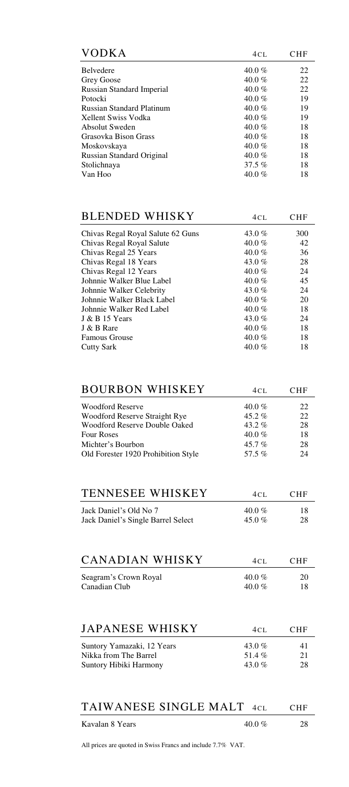| <b>VODKA</b>                     | 4CL      | CHF |
|----------------------------------|----------|-----|
| <b>Belvedere</b>                 | 40.0 %   | 22  |
| Grey Goose                       | 40.0 %   | 22  |
| Russian Standard Imperial        | 40.0 %   | 22  |
| Potocki                          | 40.0 %   | 19  |
| <b>Russian Standard Platinum</b> | 40.0 %   | 19  |
| <b>Xellent Swiss Vodka</b>       | 40.0 %   | 19  |
| Absolut Sweden                   | $40.0\%$ | 18  |
| Grasovka Bison Grass             | 40.0 %   | 18  |
| Moskovskaya                      | 40.0 %   | 18  |
| Russian Standard Original        | 40.0 %   | 18  |
| Stolichnaya                      | 37.5 $%$ | 18  |
| Van Hoo                          | $40.0\%$ | 18  |

| <b>BLENDED WHISKY</b>             | 4CL      | CHF |
|-----------------------------------|----------|-----|
| Chivas Regal Royal Salute 62 Guns | 43.0 $%$ | 300 |
| Chivas Regal Royal Salute         | 40.0 %   | 42  |
| Chivas Regal 25 Years             | $40.0\%$ | 36  |
| Chivas Regal 18 Years             | 43.0 %   | 28  |
| Chivas Regal 12 Years             | $40.0\%$ | 24  |
| Johnnie Walker Blue Label         | 40.0 %   | 45  |
| Johnnie Walker Celebrity          | 43.0 $%$ | 24  |
| Johnnie Walker Black Label        | 40.0 %   | 20  |
| Johnnie Walker Red Label          | $40.0\%$ | 18  |
| J & B 15 Years                    | 43.0%    | 24  |
| J & B Rare                        | $40.0\%$ | 18  |
| <b>Famous Grouse</b>              | 40.0 %   | 18  |
| Cutty Sark                        | 40.0 %   | 18  |

| <b>BOURBON WHISKEY</b>              | 4CL       | <b>CHF</b> |
|-------------------------------------|-----------|------------|
| <b>Woodford Reserve</b>             | 40.0 %    | 22         |
| Woodford Reserve Straight Rye       | $45.2\%$  | 22         |
| Woodford Reserve Double Oaked       | 43.2 $%$  | 28         |
| <b>Four Roses</b>                   | $40.0 \%$ | 18         |
| Michter's Bourbon                   | 45.7 $%$  | 28         |
| Old Forester 1920 Prohibition Style | 57.5%     | 24         |

| <b>TENNESEE WHISKEY</b>            | $4CI$ . | <b>CHF</b> |
|------------------------------------|---------|------------|
| Jack Daniel's Old No 7             | 40.0 %  | 18         |
| Jack Daniel's Single Barrel Select | 45.0 %  | 28         |

| <b>CANADIAN WHISKY</b> | 4CI.   | <b>CHF</b> |
|------------------------|--------|------------|
| Seagram's Crown Royal  | 40.0 % | 20         |
| Canadian Club          | 40.0 % | 18         |

| <b>JAPANESE WHISKY</b>     | $4CI$ .  | <b>CHF</b> |
|----------------------------|----------|------------|
| Suntory Yamazaki, 12 Years | 43.0 %   | 41         |
| Nikka from The Barrel      | 51.4 $%$ | 21         |
| Suntory Hibiki Harmony     | 43.0 %   | 28         |

| TAIWANESE SINGLE MALT 4CL |        | <b>CHF</b> |
|---------------------------|--------|------------|
| Kavalan 8 Years           | 40.0 % | 28         |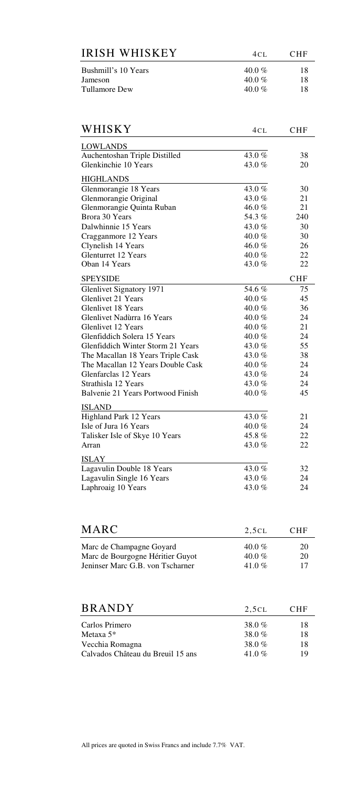| <b>IRISH WHISKEY</b> | 4CI.   | <b>CHF</b> |
|----------------------|--------|------------|
| Bushmill's 10 Years  | 40.0 % | 18         |
| Jameson              | 40.0 % | 18         |
| Tullamore Dew        | 40.0 % | 18         |

| WHISKY                            | 4cl      | <b>CHF</b> |
|-----------------------------------|----------|------------|
| <b>LOWLANDS</b>                   |          |            |
| Auchentoshan Triple Distilled     | 43.0%    | 38         |
| Glenkinchie 10 Years              | 43.0 %   | 20         |
| <b>HIGHLANDS</b>                  |          |            |
| Glenmorangie 18 Years             | 43.0 $%$ | 30         |
| Glenmorangie Original             | 43.0 $%$ | 21         |
| Glenmorangie Quinta Ruban         | 46.0 %   | 21         |
| Brora 30 Years                    | 54.3 %   | 240        |
| Dalwhinnie 15 Years               | 43.0 %   | 30         |
| Cragganmore 12 Years              | 40.0 $%$ | 30         |
| Clynelish 14 Years                | 46.0 $%$ | 26         |
| <b>Glenturret 12 Years</b>        | 40.0 %   | 22         |
| Oban 14 Years                     | 43.0%    | 22         |
| <b>SPEYSIDE</b>                   |          | <b>CHF</b> |
| Glenlivet Signatory 1971          | 54.6 %   | 75         |
| Glenlivet 21 Years                | 40.0 %   | 45         |
| <b>Glenlivet 18 Years</b>         | 40.0%    | 36         |
| Glenlivet Nadùrra 16 Years        | 40.0%    | 24         |
| Glenlivet 12 Years                | 40.0 %   | 21         |
| Glenfiddich Solera 15 Years       | 40.0 $%$ | 24         |
| Glenfiddich Winter Storm 21 Years | 43.0%    | 55         |
| The Macallan 18 Years Triple Cask | 43.0%    | 38         |
| The Macallan 12 Years Double Cask | 40.0 %   | 24         |
| Glenfarclas 12 Years              | 43.0 %   | 24         |
| Strathisla 12 Years               | 43.0 %   | 24         |
| Balvenie 21 Years Portwood Finish | 40.0 $%$ | 45         |
| <b>ISLAND</b>                     |          |            |
| Highland Park 12 Years            | 43.0 $%$ | 21         |
| Isle of Jura 16 Years             | 40.0 %   | 24         |
| Talisker Isle of Skye 10 Years    | 45.8%    | 22         |
| Arran                             | 43.0%    | 22         |
| ISLAY                             |          |            |
| Lagavulin Double 18 Years         | 43.0%    | 32         |
| Lagavulin Single 16 Years         | 43.0 $%$ | 24         |
| Laphroaig 10 Years                | 43.0%    | 24         |

| <b>MARC</b>                                                  | 2.5CL                 | <b>CHF</b> |
|--------------------------------------------------------------|-----------------------|------------|
| Marc de Champagne Goyard<br>Marc de Bourgogne Héritier Guyot | 40.0 $\%$<br>40.0 $%$ | 20<br>20   |
| Jeninser Marc G.B. von Tscharner                             | 41.0 %                |            |

| <b>BRANDY</b>                     | 2,5CL  | <b>CHF</b> |
|-----------------------------------|--------|------------|
| Carlos Primero                    | 38.0%  | 18         |
| Metaxa $5*$                       | 38.0%  | 18         |
| Vecchia Romagna                   | 38.0%  | 18         |
| Calvados Château du Breuil 15 ans | 41.0 % | 19         |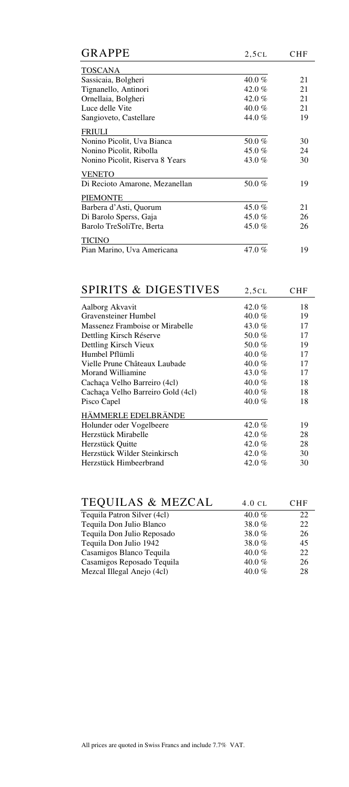| <b>GRAPPE</b>                   | 2,5CL    | CHF |
|---------------------------------|----------|-----|
| <b>TOSCANA</b>                  |          |     |
| Sassicaia, Bolgheri             | 40.0 %   | 21  |
| Tignanello, Antinori            | 42.0 %   | 21  |
| Ornellaia, Bolgheri             | 42.0 $%$ | 21  |
| Luce delle Vite                 | 40.0 %   | 21  |
| Sangioveto, Castellare          | 44.0%    | 19  |
| FRIULI                          |          |     |
| Nonino Picolit, Uva Bianca      | 50.0%    | 30  |
| Nonino Picolit, Ribolla         | 45.0 %   | 24  |
| Nonino Picolit, Riserva 8 Years | 43.0%    | 30  |
| <b>VENETO</b>                   |          |     |
| Di Recioto Amarone, Mezanellan  | 50.0%    | 19  |
| <b>PIEMONTE</b>                 |          |     |
| Barbera d'Asti, Quorum          | 45.0 %   | 21  |
| Di Barolo Sperss, Gaja          | 45.0 %   | 26  |
| Barolo TreSoliTre, Berta        | 45.0 $%$ | 26  |
| TICINO                          |          |     |
| Pian Marino, Uva Americana      | 47.0%    | 19  |

| <b>SPIRITS &amp; DIGESTIVES</b>   | 2,5CL    | CHF |
|-----------------------------------|----------|-----|
| Aalborg Akvavit                   | 42.0 %   | 18  |
| Gravensteiner Humbel              | 40.0 %   | 19  |
| Massenez Framboise or Mirabelle   | 43.0 $%$ | 17  |
| Dettling Kirsch Réserve           | 50.0 $%$ | 17  |
| Dettling Kirsch Vieux             | 50.0%    | 19  |
| Humbel Pflümli                    | 40.0 %   | 17  |
| Vielle Prune Châteaux Laubade     | 40.0 %   | 17  |
| Morand Williamine                 | 43.0 %   | 17  |
| Cachaça Velho Barreiro (4cl)      | 40.0 %   | 18  |
| Cachaça Velho Barreiro Gold (4cl) | 40.0 %   | 18  |
| Pisco Capel                       | 40.0 %   | 18  |
| HÄMMERLE EDELBRÄNDE               |          |     |
| Holunder oder Vogelbeere          | 42.0 %   | 19  |
| Herzstück Mirabelle               | 42.0 %   | 28  |
| Herzstück Quitte                  | 42.0 %   | 28  |
| Herzstück Wilder Steinkirsch      | 42.0 %   | 30  |
| Herzstück Himbeerbrand            | 42.0 %   | 30  |

| <b>TEQUILAS &amp; MEZCAL</b> | $4.0 \text{ }$ CL | <b>CHF</b> |
|------------------------------|-------------------|------------|
| Tequila Patron Silver (4cl)  | 40.0 $%$          | 22         |
| Tequila Don Julio Blanco     | 38.0%             | 22         |
| Tequila Don Julio Reposado   | 38.0%             | 26         |
| Tequila Don Julio 1942       | 38.0%             | 45         |
| Casamigos Blanco Tequila     | 40.0 $%$          | 22         |
| Casamigos Reposado Tequila   | 40.0 $%$          | 26         |
| Mezcal Illegal Anejo (4cl)   | 40.0 $%$          | 28         |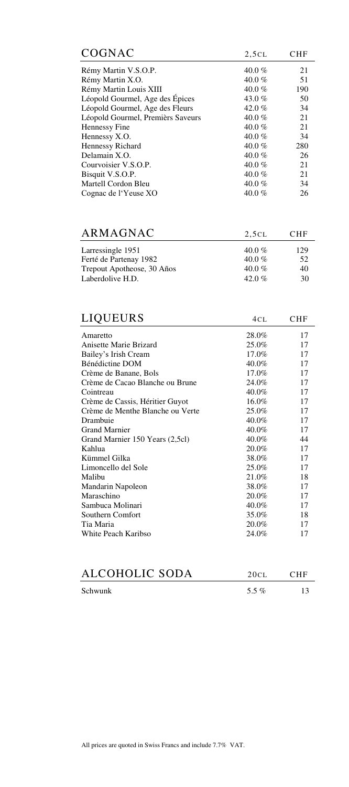| COGNAC                            | 2,5CL    | CHF |
|-----------------------------------|----------|-----|
| Rémy Martin V.S.O.P.              | 40.0 $%$ | 21  |
| Rémy Martin X.O.                  | 40.0 $%$ | 51  |
| Rémy Martin Louis XIII            | 40.0 $%$ | 190 |
| Léopold Gourmel, Age des Épices   | 43.0 $%$ | 50  |
| Léopold Gourmel, Age des Fleurs   | 42.0 $%$ | 34  |
| Léopold Gourmel, Premièrs Saveurs | 40.0 $%$ | 21  |
| Hennessy Fine                     | 40.0 $%$ | 21  |
| Hennessy X.O.                     | 40.0 $%$ | 34  |
| Hennessy Richard                  | 40.0 $%$ | 280 |
| Delamain X.O.                     | 40.0 %   | 26  |
| Courvoisier V.S.O.P.              | 40.0 $%$ | 21  |
| Bisquit V.S.O.P.                  | 40.0 $%$ | 21  |
| Martell Cordon Bleu               | 40.0 $%$ | 34  |
| Cognac de l'Yeuse XO              | 40.0 %   | 26  |

| ARMAGNAC                   | 2,5CL     | <b>CHF</b> |
|----------------------------|-----------|------------|
| Larressingle 1951          | $40.0 \%$ | 129        |
| Ferté de Partenay 1982     | 40.0 $%$  | 52         |
| Trepout Apotheose, 30 Años | $40.0\%$  | 40         |
| Laberdolive H.D.           | 42.0 %    | 30         |
|                            |           |            |

| <b>LIQUEURS</b>                  | 4CL   | <b>CHF</b> |
|----------------------------------|-------|------------|
| Amaretto                         | 28.0% | 17         |
| Anisette Marie Brizard           | 25.0% | 17         |
| Bailey's Irish Cream             | 17.0% | 17         |
| Bénédictine DOM                  | 40.0% | 17         |
| Crème de Banane, Bols            | 17.0% | 17         |
| Crème de Cacao Blanche ou Brune  | 24.0% | 17         |
| Cointreau                        | 40.0% | 17         |
| Crème de Cassis, Héritier Guyot  | 16.0% | 17         |
| Crème de Menthe Blanche ou Verte | 25.0% | 17         |
| Drambuie                         | 40.0% | 17         |
| <b>Grand Marnier</b>             | 40.0% | 17         |
| Grand Marnier 150 Years (2,5cl)  | 40.0% | 44         |
| Kahlua                           | 20.0% | 17         |
| Kümmel Gilka                     | 38.0% | 17         |
| Limoncello del Sole              | 25.0% | 17         |
| Malibu                           | 21.0% | 18         |
| Mandarin Napoleon                | 38.0% | 17         |
| Maraschino                       | 20.0% | 17         |
| Sambuca Molinari                 | 40.0% | 17         |
| Southern Comfort                 | 35.0% | 18         |
| Tia Maria                        | 20.0% | 17         |
| White Peach Karibso              | 24.0% | 17         |

| ALCOHOLIC SODA | 20CL     | - CHF |
|----------------|----------|-------|
| Schwunk        | 5.5 $\%$ |       |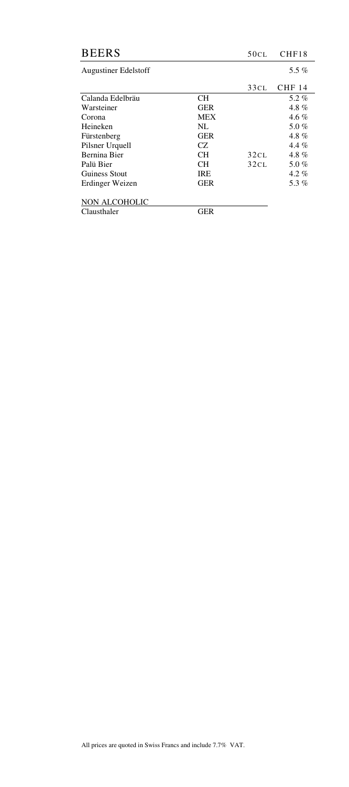| <b>BEERS</b>                |            | 50CL | CHF18         |
|-----------------------------|------------|------|---------------|
| <b>Augustiner Edelstoff</b> |            |      | 5.5 $%$       |
|                             |            | 33CL | <b>CHF 14</b> |
| Calanda Edelbräu            | <b>CH</b>  |      | 5.2%          |
| Warsteiner                  | <b>GER</b> |      | 4.8 $%$       |
| Corona                      | <b>MEX</b> |      | $4.6\%$       |
| Heineken                    | NL         |      | 5.0 %         |
| Fürstenberg                 | <b>GER</b> |      | 4.8 $%$       |
| Pilsner Urquell             | CZ.        |      | 4.4 $%$       |
| Bernina Bier                | <b>CH</b>  | 32CL | 4.8 $%$       |
| Palü Bier                   | CH         | 32CL | 5.0 %         |
| Guiness Stout               | <b>IRE</b> |      | $4.2\%$       |
| Erdinger Weizen             | <b>GER</b> |      | 5.3%          |
| NON ALCOHOLIC               |            |      |               |
| Clausthaler                 | GER        |      |               |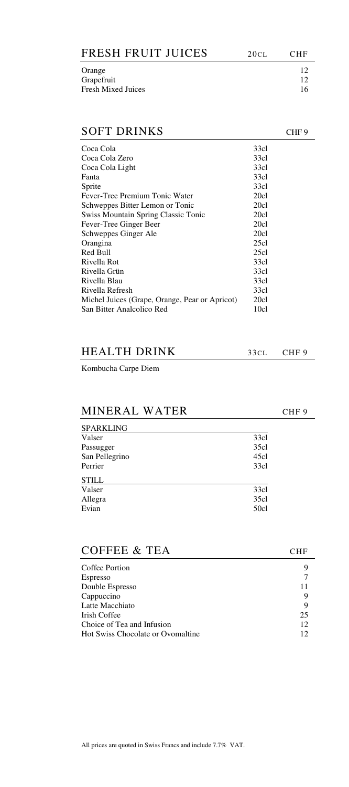| FRESH FRUIT JUICES | 20CL | CHF. |
|--------------------|------|------|
| Orange             |      | 12.  |
| Grapefruit         |      | 12.  |
| Fresh Mixed Juices |      | 16   |
|                    |      |      |
|                    |      |      |

# SOFT DRINKS CHF 9

| Coca Cola                                      | 33cl |
|------------------------------------------------|------|
| Coca Cola Zero                                 | 33cl |
| Coca Cola Light                                | 33cl |
| Fanta                                          | 33cl |
| Sprite                                         | 33cl |
| Fever-Tree Premium Tonic Water                 | 20c1 |
| Schweppes Bitter Lemon or Tonic                | 20c1 |
| <b>Swiss Mountain Spring Classic Tonic</b>     | 20c1 |
| Fever-Tree Ginger Beer                         | 20c1 |
| Schweppes Ginger Ale                           | 20c1 |
| Orangina                                       | 25c1 |
| Red Bull                                       | 25c1 |
| Rivella Rot                                    | 33cl |
| Rivella Grün                                   | 33cl |
| Rivella Blau                                   | 33cl |
| Rivella Refresh                                | 33cl |
| Michel Juices (Grape, Orange, Pear or Apricot) | 20c1 |
| San Bitter Analcolico Red                      | 10cl |
|                                                |      |

| <b>HEALTH DRINK</b> | $33CL$ CHF 9 |  |
|---------------------|--------------|--|
|                     |              |  |

Kombucha Carpe Diem

# MINERAL WATER CHF 9

| <b>SPARKLING</b> |      |
|------------------|------|
| Valser           | 33c1 |
| Passugger        | 35c1 |
| San Pellegrino   | 45c1 |
| Perrier          | 33c1 |
| <b>STILL</b>     |      |
| Valser           | 33cl |
| Allegra          | 35c1 |
| Evian            | 50c1 |
|                  |      |

| COFFEE & TEA                      | CHF |
|-----------------------------------|-----|
| Coffee Portion                    |     |
| <b>Espresso</b>                   |     |
| Double Espresso                   |     |
| Cappuccino                        | 9   |
| Latte Macchiato                   | 9   |
| Irish Coffee                      | 25  |
| Choice of Tea and Infusion        | 12  |
| Hot Swiss Chocolate or Ovomaltine |     |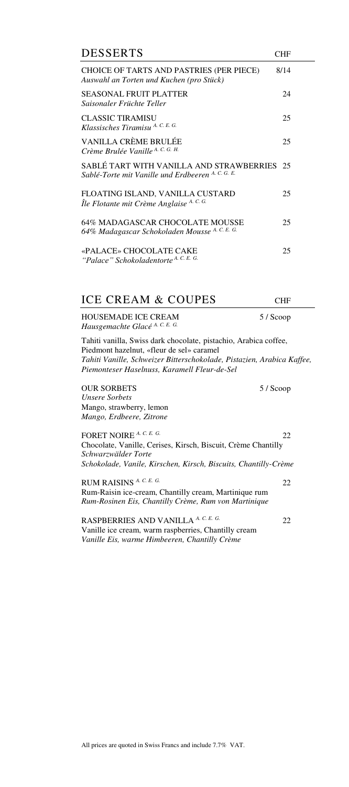| <b>DESSERTS</b>                                                                                                                                                                                                                         | <b>CHF</b> |  |
|-----------------------------------------------------------------------------------------------------------------------------------------------------------------------------------------------------------------------------------------|------------|--|
| CHOICE OF TARTS AND PASTRIES (PER PIECE)<br>Auswahl an Torten und Kuchen (pro Stück)                                                                                                                                                    | 8/14       |  |
| <b>SEASONAL FRUIT PLATTER</b><br>Saisonaler Früchte Teller                                                                                                                                                                              | 24         |  |
| <b>CLASSIC TIRAMISU</b><br>Klassisches Tiramisu A. C. E. G.                                                                                                                                                                             | 25         |  |
| VANILLA CRÈME BRULÉE<br>Crème Brulée Vanille A. С. G. н.                                                                                                                                                                                | 25         |  |
| SABLÉ TART WITH VANILLA AND STRAWBERRIES<br>Sablé-Torte mit Vanille und Erdbeeren A. C. G. E.                                                                                                                                           | 25         |  |
| FLOATING ISLAND, VANILLA CUSTARD<br>Île Flotante mit Crème Anglaise A. C. G.                                                                                                                                                            | 25         |  |
| 64% MADAGASCAR CHOCOLATE MOUSSE<br>64% Madagascar Schokoladen Mousse A. C. E. G.                                                                                                                                                        | 25         |  |
| «PALACE» CHOCOLATE CAKE<br>"Palace" Schokoladentorte A. C. E. G.                                                                                                                                                                        | 25         |  |
| <b>ICE CREAM &amp; COUPES</b>                                                                                                                                                                                                           | CHF        |  |
| <b>HOUSEMADE ICE CREAM</b><br>Hausgemachte Glacé A. C. E. G.                                                                                                                                                                            | 5 / Scoop  |  |
| Tahiti vanilla, Swiss dark chocolate, pistachio, Arabica coffee,<br>Piedmont hazelnut, «fleur de sel» caramel<br>Tahiti Vanille, Schweizer Bitterschokolade, Pistazien, Arabica Kaffee,<br>Piemonteser Haselnuss, Karamell Fleur-de-Sel |            |  |
| <b>OUR SORBETS</b><br><b>Unsere Sorbets</b><br>Mango, strawberry, lemon<br>Mango, Erdbeere, Zitrone                                                                                                                                     | 5 / Scoop  |  |
| FORET NOIRE A. C. E. G.<br>Chocolate, Vanille, Cerises, Kirsch, Biscuit, Crème Chantilly<br>Schwarzwälder Torte<br>Schokolade, Vanile, Kirschen, Kirsch, Biscuits, Chantilly-Crème                                                      | 22         |  |
| RUM RAISINS A. C. E. G.                                                                                                                                                                                                                 | 22         |  |
| Rum-Raisin ice-cream, Chantilly cream, Martinique rum<br>Rum-Rosinen Eis, Chantilly Crème, Rum von Martinique                                                                                                                           |            |  |
| RASPBERRIES AND VANILLA A. C. E. G.<br>Vanille ice cream, warm raspberries, Chantilly cream<br>Vanille Eis, warme Himbeeren, Chantilly Crème                                                                                            | 22         |  |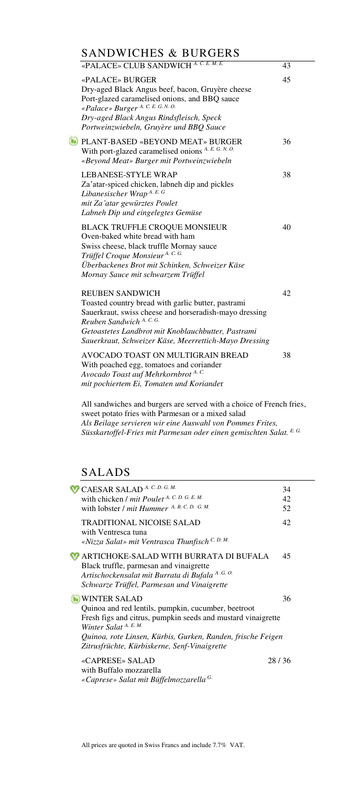# SANDWICHES & BURGERS

| «PALACE» CLUB SANDWICH A. C. E. M. E.                                                                                                                                                                                                                                             | 43 |
|-----------------------------------------------------------------------------------------------------------------------------------------------------------------------------------------------------------------------------------------------------------------------------------|----|
| «PALACE» BURGER<br>Dry-aged Black Angus beef, bacon, Gruyère cheese<br>Port-glazed caramelised onions, and BBQ sauce<br>«Palace» Burger A. C. E. G. N. O.<br>Dry-aged Black Angus Rindsfleisch, Speck<br>Portweinzwiebeln, Gruyère und BBQ Sauce                                  | 45 |
| PLANT-BASED «BEYOND MEAT» BURGER<br>With port-glazed caramelised onions A. E. G. N. O.<br>«Beyond Meat» Burger mit Portweinzwiebeln                                                                                                                                               | 36 |
| LEBANESE-STYLE WRAP<br>Za'atar-spiced chicken, labneh dip and pickles<br>Libanesischer Wrap A. E. G<br>mit Za'atar gewürztes Poulet<br>Labneh Dip und eingelegtes Gemüse                                                                                                          | 38 |
| <b>BLACK TRUFFLE CROQUE MONSIEUR</b><br>Oven-baked white bread with ham<br>Swiss cheese, black truffle Mornay sauce<br>Trüffel Croque Monsieur <sup>A.C.G.</sup><br>Überbackenes Brot mit Schinken, Schweizer Käse<br>Mornay Sauce mit schwarzem Trüffel                          | 40 |
| <b>REUBEN SANDWICH</b><br>Toasted country bread with garlic butter, pastrami<br>Sauerkraut, swiss cheese and horseradish-mayo dressing<br>Reuben Sandwich A. C. G.<br>Getoastetes Landbrot mit Knoblauchbutter, Pastrami<br>Sauerkraut, Schweizer Käse, Meerrettich-Mayo Dressing | 42 |
| AVOCADO TOAST ON MULTIGRAIN BREAD<br>With poached egg, tomatoes and coriander<br>Avocado Toast auf Mehrkornbrot A.C.<br>mit pochiertem Ei, Tomaten und Koriander                                                                                                                  | 38 |
|                                                                                                                                                                                                                                                                                   |    |

All sandwiches and burgers are served with a choice of French fries, sweet potato fries with Parmesan or a mixed salad *Als Beilage servieren wir eine Auswahl von Pommes Frites, Süsskartoffel-Fries mit Parmesan oder einen gemischten Salat. E. G.*

# SALADS

| CAESAR SALAD <sup>A. C. D. G. M.</sup>                                                                                                                                                                                                                                                | 34    |
|---------------------------------------------------------------------------------------------------------------------------------------------------------------------------------------------------------------------------------------------------------------------------------------|-------|
| with chicken / mit Poulet A. C. D. G. E. M.                                                                                                                                                                                                                                           | 42    |
| with lobster / mit Hummer A. B. C. D. G. M.                                                                                                                                                                                                                                           | 52    |
| <b>TRADITIONAL NICOISE SALAD</b><br>with Ventresca tuna<br>«Nizza Salat» mit Ventrasca Thunfisch C. D. M.                                                                                                                                                                             | 42    |
| ARTICHOKE-SALAD WITH BURRATA DI BUFALA<br>Black truffle, parmesan and vinaigrette<br>Artischockensalat mit Burrata di Bufala A.G. O.<br>Schwarze Trüffel, Parmesan und Vinaigrette                                                                                                    | 45    |
| <b>WINTER SALAD</b><br>Quinoa and red lentils, pumpkin, cucumber, beetroot<br>Fresh figs and citrus, pumpkin seeds and mustard vinaigrette<br>Winter Salat $A$ . E. M.<br>Quinoa, rote Linsen, Kürbis, Gurken, Randen, frische Feigen<br>Zitrusfrüchte, Kürbiskerne, Senf-Vinaigrette | 36    |
| «CAPRESE» SALAD<br>with Buffalo mozzarella<br>«Caprese» Salat mit Büffelmozzarella <sup>G.</sup>                                                                                                                                                                                      | 28/36 |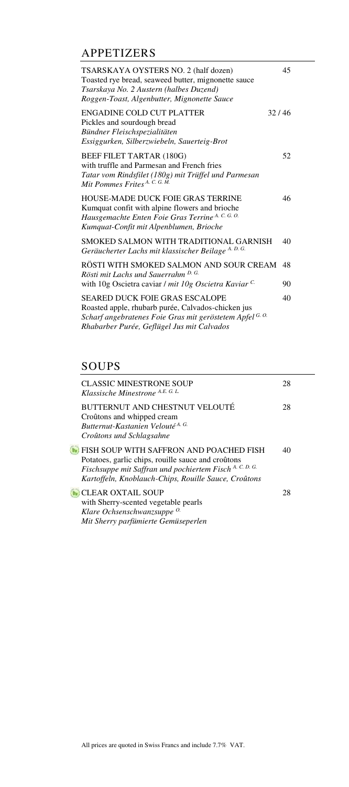# APPETIZERS

| TSARSKAYA OYSTERS NO. 2 (half dozen)<br>Toasted rye bread, seaweed butter, mignonette sauce<br>Tsarskaya No. 2 Austern (halbes Duzend)<br>Roggen-Toast, Algenbutter, Mignonette Sauce | 45    |
|---------------------------------------------------------------------------------------------------------------------------------------------------------------------------------------|-------|
| ENGADINE COLD CUT PLATTER<br>Pickles and sourdough bread<br>Bündner Fleischspezialitäten<br>Essiggurken, Silberzwiebeln, Sauerteig-Brot                                               | 32/46 |
| BEEF FILET TARTAR (180G)<br>with truffle and Parmesan and French fries<br>Tatar vom Rindsfilet (180g) mit Trüffel und Parmesan<br>Mit Pommes Frites A. C. G. M.                       | 52    |
| HOUSE-MADE DUCK FOIE GRAS TERRINE<br>Kumquat confit with alpine flowers and brioche<br>Hausgemachte Enten Foie Gras Terrine A. C. G. O.<br>Kumquat-Confit mit Alpenblumen, Brioche    | 46    |
| SMOKED SALMON WITH TRADITIONAL GARNISH<br>Geräucherter Lachs mit klassischer Beilage A. D. G.                                                                                         | 40    |
| RÖSTI WITH SMOKED SALMON AND SOUR CREAM<br>Rösti mit Lachs und Sauerrahm D. G.                                                                                                        | 48    |
| with 10g Oscietra caviar / mit 10g Oscietra Kaviar C.<br><b>SEARED DUCK FOIE GRAS ESCALOPE</b>                                                                                        | 90    |
| Roasted apple, rhubarb purée, Calvados-chicken jus<br>Scharf angebratenes Foie Gras mit geröstetem Apfel G. O.<br>Rhabarber Purée, Geflügel Jus mit Calvados                          | 40    |

# SOUPS

| <b>CLASSIC MINESTRONE SOUP</b><br>Klassische Minestrone A.E. G. L.                                                                                                                                               | 28 |
|------------------------------------------------------------------------------------------------------------------------------------------------------------------------------------------------------------------|----|
| BUTTERNUT AND CHESTNUT VELOUTÉ<br>Croûtons and whipped cream<br>Butternut-Kastanien Velouté <sup>A.G.</sup><br>Croûtons und Schlagsahne                                                                          | 28 |
| FISH SOUP WITH SAFFRON AND POACHED FISH<br>Potatoes, garlic chips, rouille sauce and croûtons<br>Fischsuppe mit Saffran und pochiertem Fisch A. C. D. G.<br>Kartoffeln, Knoblauch-Chips, Rouille Sauce, Croûtons | 40 |
| <b>CLEAR OXTAIL SOUP</b><br>with Sherry-scented vegetable pearls<br>Klare Ochsenschwanzsuppe <sup>0.</sup><br>Mit Sherry parfümierte Gemüseperlen                                                                | 28 |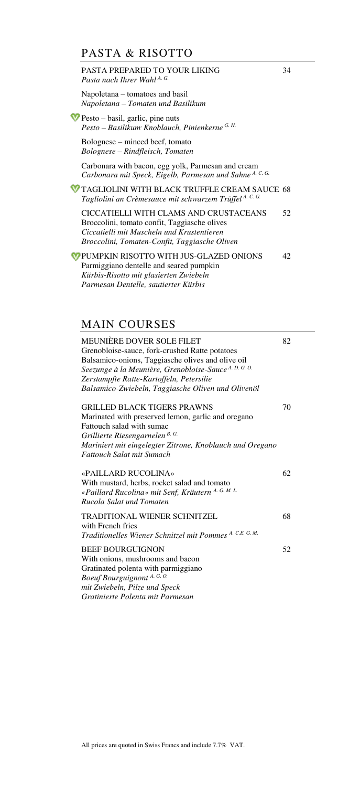# PASTA & RISOTTO

## PASTA PREPARED TO YOUR LIKING 34 *Pasta nach Ihrer Wahl A. G.* Napoletana – tomatoes and basil *Napoletana – Tomaten und Basilikum*   $\mathbf{\nabla}$  Pesto – basil, garlic, pine nuts *Pesto – Basilikum, Knoblauch, Pinienkerne G. H.* Bolognese – minced beef, tomato *Bolognese – Rindfleisch, Tomaten*  Carbonara with bacon, egg yolk, Parmesan and cream *Carbonara mit Speck, Eigelb, Parmesan und Sahne A. C. G.* TAGLIOLINI WITH BLACK TRUFFLE CREAM SAUCE 68 *Tagliolini an Crèmesauce mit schwarzem Trüffel A. C. G.* CICCATIELLI WITH CLAMS AND CRUSTACEANS 52 Broccolini, tomato confit, Taggiasche olives *Ciccatielli mit Muscheln und Krustentieren Broccolini, Tomaten-Confit, Taggiasche Oliven*  PUMPKIN RISOTTO WITH JUS-GLAZED ONIONS 42 Parmiggiano dentelle and seared pumpkin *Kürbis-Risotto mit glasierten Zwiebeln Parmesan Dentelle, sautierter Kürbis*

# MAIN COURSES

| MEUNIÈRE DOVER SOLE FILET<br>Grenobloise-sauce, fork-crushed Ratte potatoes<br>Balsamico-onions, Taggiasche olives and olive oil<br>Seezunge à la Meunière, Grenobloise-Sauce A. D. G. O.<br>Zerstampfte Ratte-Kartoffeln, Petersilie<br>Balsamico-Zwiebeln, Taggiasche Oliven und Olivenöl | 82 |
|---------------------------------------------------------------------------------------------------------------------------------------------------------------------------------------------------------------------------------------------------------------------------------------------|----|
| <b>GRILLED BLACK TIGERS PRAWNS</b><br>Marinated with preserved lemon, garlic and oregano<br>Fattouch salad with sumac<br>Grillierte Riesengarnelen B. G.<br>Mariniert mit eingelegter Zitrone, Knoblauch und Oregano<br><b>Fattouch Salat mit Sumach</b>                                    | 70 |
| «PAILLARD RUCOLINA»<br>With mustard, herbs, rocket salad and tomato<br>«Paillard Rucolina» mit Senf, Kräutern A. G. M. L.<br>Rucola Salat und Tomaten                                                                                                                                       | 62 |
| TRADITIONAL WIENER SCHNITZEL<br>with French fries<br>Traditionelles Wiener Schnitzel mit Pommes A. C.E. G. M.                                                                                                                                                                               | 68 |
| <b>BEEF BOURGUIGNON</b><br>With onions, mushrooms and bacon<br>Gratinated polenta with parmiggiano<br>Boeuf Bourguignont A. G. O.<br>mit Zwiebeln, Pilze und Speck<br>Gratinierte Polenta mit Parmesan                                                                                      | 52 |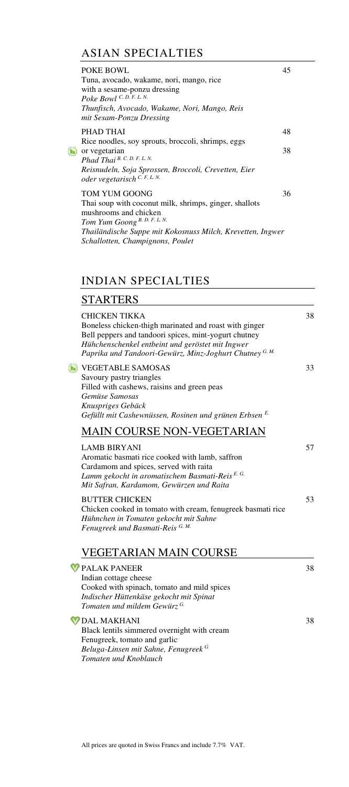# ASIAN SPECIALTIES

| POKE BOWL<br>Tuna, avocado, wakame, nori, mango, rice<br>with a sesame-ponzu dressing<br>Poke Bowl C. D. F. L. N.<br>Thunfisch, Avocado, Wakame, Nori, Mango, Reis<br>mit Sesam-Ponzu Dressing        | 45 |
|-------------------------------------------------------------------------------------------------------------------------------------------------------------------------------------------------------|----|
| PHAD THAI                                                                                                                                                                                             | 48 |
| Rice noodles, soy sprouts, broccoli, shrimps, eggs<br>or vegetarian<br>Phad Thai $B. C. D. F. L. N.$<br>Reisnudeln, Soja Sprossen, Broccoli, Crevetten, Eier<br>oder vegetarisch $C. F. L. N.$        | 38 |
| <b>TOM YUM GOONG</b><br>Thai soup with coconut milk, shrimps, ginger, shallots<br>mushrooms and chicken<br>Tom Yum Goong B. D. F. L. N.<br>Thailändische Suppe mit Kokosnuss Milch, Krevetten, Ingwer | 36 |
| Schallotten, Champignons, Poulet                                                                                                                                                                      |    |

# INDIAN SPECIALTIES

|--|

| <b>CHICKEN TIKKA</b><br>Boneless chicken-thigh marinated and roast with ginger<br>Bell peppers and tandoori spices, mint-yogurt chutney<br>Hühchenschenkel entbeint und geröstet mit Ingwer<br>Paprika und Tandoori-Gewürz, Minz-Joghurt Chutney G. M. | 38 |
|--------------------------------------------------------------------------------------------------------------------------------------------------------------------------------------------------------------------------------------------------------|----|
| <b>VEGETABLE SAMOSAS</b><br>Savoury pastry triangles<br>Filled with cashews, raisins and green peas<br>Gemüse Samosas<br>Knuspriges Gebäck<br>Gefüllt mit Cashewnüssen, Rosinen und grünen Erbsen E.                                                   | 33 |
| MAIN COURSE NON-VEGETARIAN                                                                                                                                                                                                                             |    |
| <b>LAMB BIRYANI</b><br>Aromatic basmati rice cooked with lamb, saffron<br>Cardamom and spices, served with raita<br>Lamm gekocht in aromatischem Basmati-Reis <sup>E.G.</sup><br>Mit Safran, Kardamom, Gewürzen und Raita                              | 57 |
| <b>BUTTER CHICKEN</b><br>Chicken cooked in tomato with cream, fenugreek basmati rice<br>Hühnchen in Tomaten gekocht mit Sahne<br>Fenugreek und Basmati-Reis <sup>G.M.</sup>                                                                            | 53 |
| VEGETARIAN MAIN COURSE                                                                                                                                                                                                                                 |    |
| PALAK PANEER<br>Indian cottage cheese<br>Cooked with spinach, tomato and mild spices<br>Indischer Hüttenkäse gekocht mit Spinat<br>Tomaten und mildem Gewürz <sup>G.</sup>                                                                             | 38 |
| <b>DAL MAKHANI</b>                                                                                                                                                                                                                                     | 38 |

Black lentils simmered overnight with cream Fenugreek, tomato and garlic*. Beluga-Linsen mit Sahne, Fenugreek<sup>G</sup> Tomaten und Knoblauch*